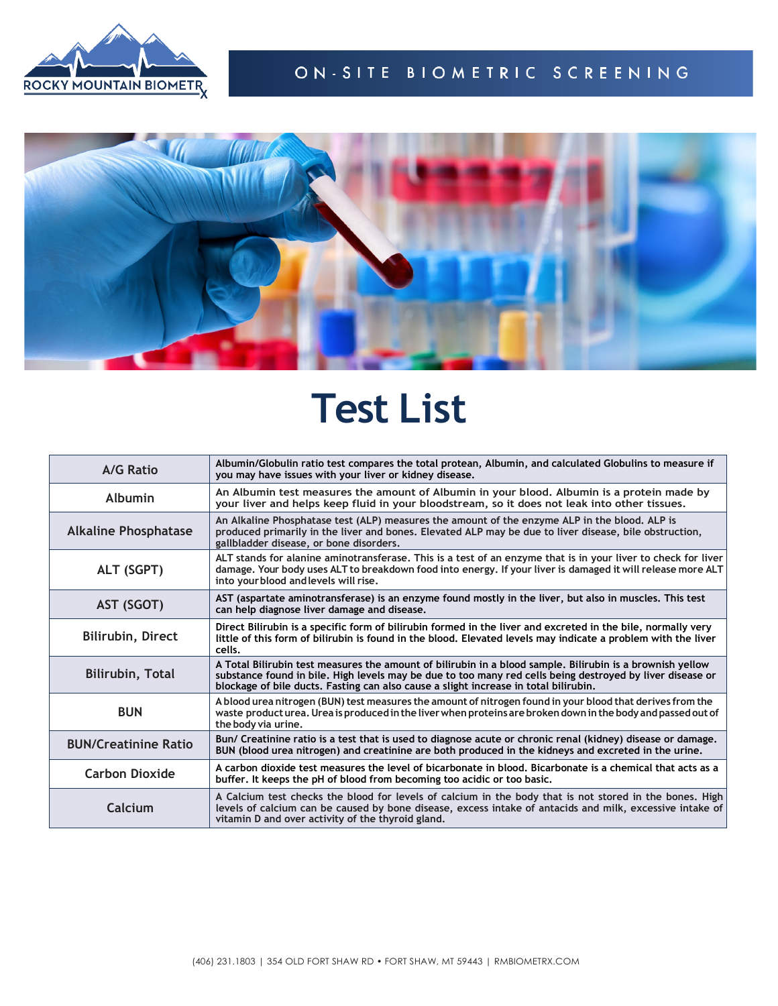



## **Test List**

| A/G Ratio                   | Albumin/Globulin ratio test compares the total protean, Albumin, and calculated Globulins to measure if<br>you may have issues with your liver or kidney disease.                                                                                                                                              |
|-----------------------------|----------------------------------------------------------------------------------------------------------------------------------------------------------------------------------------------------------------------------------------------------------------------------------------------------------------|
| <b>Albumin</b>              | An Albumin test measures the amount of Albumin in your blood, Albumin is a protein made by<br>your liver and helps keep fluid in your bloodstream, so it does not leak into other tissues.                                                                                                                     |
| <b>Alkaline Phosphatase</b> | An Alkaline Phosphatase test (ALP) measures the amount of the enzyme ALP in the blood. ALP is<br>produced primarily in the liver and bones. Elevated ALP may be due to liver disease, bile obstruction,<br>gallbladder disease, or bone disorders.                                                             |
| ALT (SGPT)                  | ALT stands for alanine aminotransferase. This is a test of an enzyme that is in your liver to check for liver<br>damage. Your body uses ALT to breakdown food into energy. If your liver is damaged it will release more ALT<br>into your blood and levels will rise.                                          |
| AST (SGOT)                  | AST (aspartate aminotransferase) is an enzyme found mostly in the liver, but also in muscles. This test<br>can help diagnose liver damage and disease.                                                                                                                                                         |
| Bilirubin, Direct           | Direct Bilirubin is a specific form of bilirubin formed in the liver and excreted in the bile, normally very<br>little of this form of bilirubin is found in the blood. Elevated levels may indicate a problem with the liver<br>cells.                                                                        |
| <b>Bilirubin, Total</b>     | A Total Bilirubin test measures the amount of bilirubin in a blood sample. Bilirubin is a brownish yellow<br>substance found in bile. High levels may be due to too many red cells being destroyed by liver disease or<br>blockage of bile ducts. Fasting can also cause a slight increase in total bilirubin. |
| <b>BUN</b>                  | A blood urea nitrogen (BUN) test measures the amount of nitrogen found in your blood that derives from the<br>waste product urea. Urea is produced in the liver when proteins are broken down in the body and passed out of<br>the body via urine.                                                             |
| <b>BUN/Creatinine Ratio</b> | Bun/ Creatinine ratio is a test that is used to diagnose acute or chronic renal (kidney) disease or damage.<br>BUN (blood urea nitrogen) and creatinine are both produced in the kidneys and excreted in the urine.                                                                                            |
| <b>Carbon Dioxide</b>       | A carbon dioxide test measures the level of bicarbonate in blood. Bicarbonate is a chemical that acts as a<br>buffer. It keeps the pH of blood from becoming too acidic or too basic.                                                                                                                          |
| Calcium                     | A Calcium test checks the blood for levels of calcium in the body that is not stored in the bones. High<br>levels of calcium can be caused by bone disease, excess intake of antacids and milk, excessive intake of<br>vitamin D and over activity of the thyroid gland.                                       |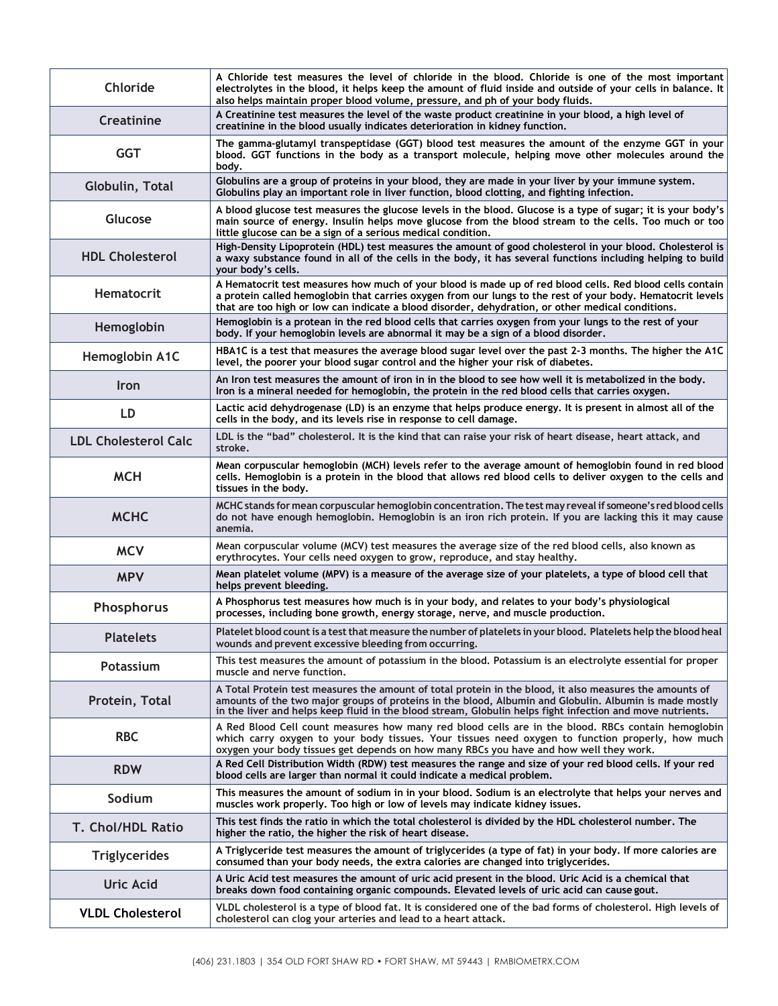| Chloride                    | A Chloride test measures the level of chloride in the blood. Chloride is one of the most important<br>electrolytes in the blood, it helps keep the amount of fluid inside and outside of your cells in balance. It<br>also helps maintain proper blood volume, pressure, and ph of your body fluids.                           |
|-----------------------------|--------------------------------------------------------------------------------------------------------------------------------------------------------------------------------------------------------------------------------------------------------------------------------------------------------------------------------|
| <b>Creatinine</b>           | A Creatinine test measures the level of the waste product creatinine in your blood, a high level of<br>creatinine in the blood usually indicates deterioration in kidney function.                                                                                                                                             |
| <b>GGT</b>                  | The gamma-glutamyl transpeptidase (GGT) blood test measures the amount of the enzyme GGT in your<br>blood. GGT functions in the body as a transport molecule, helping move other molecules around the<br>body.                                                                                                                 |
| Globulin, Total             | Globulins are a group of proteins in your blood, they are made in your liver by your immune system.<br>Globulins play an important role in liver function, blood clotting, and fighting infection.                                                                                                                             |
| Glucose                     | A blood glucose test measures the glucose levels in the blood. Glucose is a type of sugar; it is your body's<br>main source of energy. Insulin helps move glucose from the blood stream to the cells. Too much or too<br>little glucose can be a sign of a serious medical condition.                                          |
| <b>HDL Cholesterol</b>      | High-Density Lipoprotein (HDL) test measures the amount of good cholesterol in your blood. Cholesterol is<br>a waxy substance found in all of the cells in the body, it has several functions including helping to build<br>your body's cells.                                                                                 |
| <b>Hematocrit</b>           | A Hematocrit test measures how much of your blood is made up of red blood cells. Red blood cells contain<br>a protein called hemoglobin that carries oxygen from our lungs to the rest of your body. Hematocrit levels<br>that are too high or low can indicate a blood disorder, dehydration, or other medical conditions.    |
| Hemoglobin                  | Hemoglobin is a protean in the red blood cells that carries oxygen from your lungs to the rest of your<br>body. If your hemoglobin levels are abnormal it may be a sign of a blood disorder.                                                                                                                                   |
| Hemoglobin A1C              | HBA1C is a test that measures the average blood sugar level over the past 2-3 months. The higher the A1C<br>level, the poorer your blood sugar control and the higher your risk of diabetes.                                                                                                                                   |
| <b>Iron</b>                 | An Iron test measures the amount of iron in in the blood to see how well it is metabolized in the body.<br>Iron is a mineral needed for hemoglobin, the protein in the red blood cells that carries oxygen.                                                                                                                    |
| LD                          | Lactic acid dehydrogenase (LD) is an enzyme that helps produce energy. It is present in almost all of the<br>cells in the body, and its levels rise in response to cell damage.                                                                                                                                                |
| <b>LDL Cholesterol Calc</b> | LDL is the "bad" cholesterol. It is the kind that can raise your risk of heart disease, heart attack, and<br>stroke.                                                                                                                                                                                                           |
| <b>MCH</b>                  | Mean corpuscular hemoglobin (MCH) levels refer to the average amount of hemoglobin found in red blood<br>cells. Hemoglobin is a protein in the blood that allows red blood cells to deliver oxygen to the cells and<br>tissues in the body.                                                                                    |
| <b>MCHC</b>                 | MCHC stands for mean corpuscular hemoglobin concentration. The test may reveal if someone's red blood cells<br>do not have enough hemoglobin. Hemoglobin is an iron rich protein. If you are lacking this it may cause<br>anemia.                                                                                              |
| <b>MCV</b>                  | Mean corpuscular volume (MCV) test measures the average size of the red blood cells, also known as<br>erythrocytes. Your cells need oxygen to grow, reproduce, and stay healthy.                                                                                                                                               |
| <b>MPV</b>                  | Mean platelet volume (MPV) is a measure of the average size of your platelets, a type of blood cell that<br>helps prevent bleeding.                                                                                                                                                                                            |
| Phosphorus                  | A Phosphorus test measures how much is in your body, and relates to your body's physiological<br>processes, including bone growth, energy storage, nerve, and muscle production.                                                                                                                                               |
| <b>Platelets</b>            | Platelet blood count is a test that measure the number of platelets in your blood. Platelets help the blood heal<br>wounds and prevent excessive bleeding from occurring.                                                                                                                                                      |
| Potassium                   | This test measures the amount of potassium in the blood, Potassium is an electrolyte essential for proper<br>muscle and nerve function.                                                                                                                                                                                        |
| Protein, Total              | A Total Protein test measures the amount of total protein in the blood, it also measures the amounts of<br>amounts of the two major groups of proteins in the blood, Albumin and Globulin. Albumin is made mostly<br>in the liver and helps keep fluid in the blood stream, Globulin helps fight infection and move nutrients. |
| <b>RBC</b>                  | A Red Blood Cell count measures how many red blood cells are in the blood. RBCs contain hemoglobin<br>which carry oxygen to your body tissues. Your tissues need oxygen to function properly, how much<br>oxygen your body tissues get depends on how many RBCs you have and how well they work.                               |
| <b>RDW</b>                  | A Red Cell Distribution Width (RDW) test measures the range and size of your red blood cells. If your red<br>blood cells are larger than normal it could indicate a medical problem.                                                                                                                                           |
| Sodium                      | This measures the amount of sodium in in your blood. Sodium is an electrolyte that helps your nerves and<br>muscles work properly. Too high or low of levels may indicate kidney issues.                                                                                                                                       |
| T. Chol/HDL Ratio           | This test finds the ratio in which the total cholesterol is divided by the HDL cholesterol number. The<br>higher the ratio, the higher the risk of heart disease.                                                                                                                                                              |
| <b>Triglycerides</b>        | A Triglyceride test measures the amount of triglycerides (a type of fat) in your body. If more calories are<br>consumed than your body needs, the extra calories are changed into triglycerides.                                                                                                                               |
| <b>Uric Acid</b>            | A Uric Acid test measures the amount of uric acid present in the blood. Uric Acid is a chemical that<br>breaks down food containing organic compounds. Elevated levels of uric acid can cause gout.                                                                                                                            |
| <b>VLDL Cholesterol</b>     | VLDL cholesterol is a type of blood fat. It is considered one of the bad forms of cholesterol. High levels of<br>cholesterol can clog your arteries and lead to a heart attack.                                                                                                                                                |